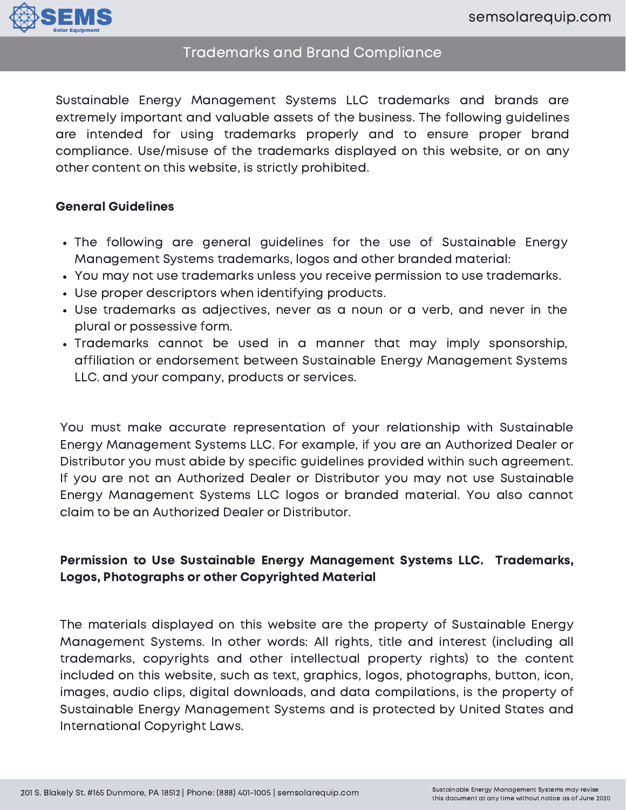

## Trademarks and Brand Compliance

Sustainable Energy Management Systems LLC trademarks and brands are extremely important and valuable assets of the business. The following guidelines are intended for using trademarks properly and to ensure proper brand compliance. Use/misuse of the trademarks displayed on this website, or on any other content on this website, is strictly prohibited.

#### General Guidelines

- The following are general guidelines for the use of Sustainable Energy Management Systems trademarks, logos and other branded material:
- You may not use trademarks unless you receive permission to use trademarks.
- Use proper descriptors when identifying products.
- Use trademarks as adjectives, never as a noun or a verb, and never in the plural or possessive form.
- Trademarks cannot be used in a manner that may imply sponsorship, affiliation or endorsement between Sustainable Energy Management Systems LLC. and your company, products or services.

You must make accurate representation of your relationship with Sustainable Energy Management Systems LLC. For example, if you are an Authorized Dealer or Distributor you must abide by specific guidelines provided within such agreement. If you are not an Authorized Dealer or Distributor you may not use Sustainable Energy Management Systems LLC logos or branded material. You also cannot claim to be an Authorized Dealer or Distributor.

### Permission to Use Sustainable Energy Management Systems LLC. Trademarks, Logos, Photographs or other Copyrighted Material

The materials displayed on this website are the property of Sustainable Energy Management Systems. In other words: All rights, title and interest (including all trademarks, copyrights and other intellectual property rights) to the content included on this website, such as text, graphics, logos, photographs, button, icon, images, audio clips, digital downloads, and data compilations, is the property of Sustainable Energy Management Systems and is protected by United States and International Copyright Laws.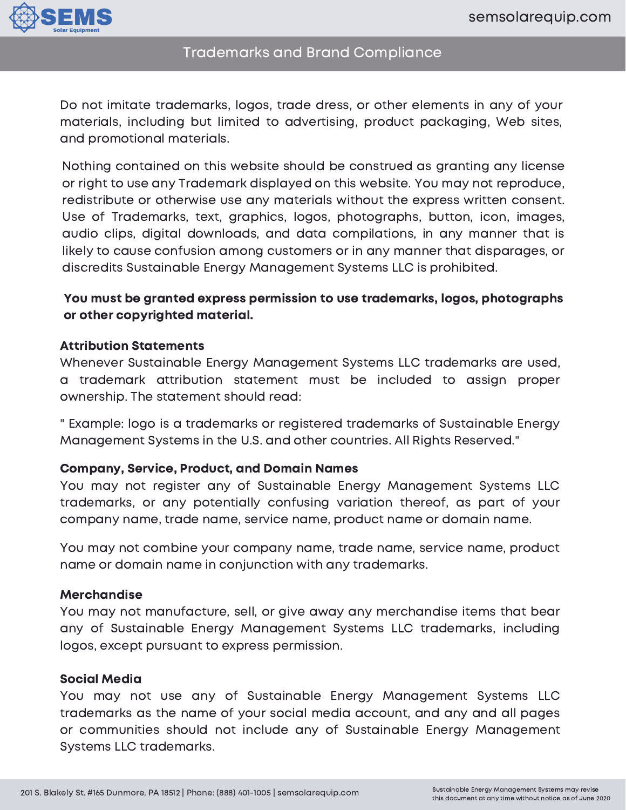

# Trademarks and Brand Compliance

Do not imitate trademarks, logos, trade dress, or other elements in any of your materials, including but limited to advertising, product packaging, Web sites, and promotional materials.

Nothing contained on this website should be construed as granting any license or right to use any Trademark displayed on this website. You may not reproduce, redistribute or otherwise use any materials without the express written consent. Use of Trademarks, text, graphics, logos, photographs, button, icon, images, audio clips, digital downloads, and data compilations, in any manner that is likely to cause confusion among customers or in any manner that disparages, or discredits Sustainable Energy Management Systems LLC is prohibited.

### You must be granted express permission to use trademarks, logos, photographs or other copyrighted material.

#### Attribution Statements

Whenever Sustainable Energy Management Systems LLC trademarks are used, a trademark attribution statement must be included to assign proper ownership. The statement should read:

" Example: logo is a trademarks or registered trademarks of Sustainable Energy Management Systems in the U.S. and other countries. All Rights Reserved."

#### Company, Service, Product, and Domain Names

You may not register any of Sustainable Energy Management Systems LLC trademarks, or any potentially confusing variation thereof, as part of your company name, trade name, service name, product name or domain name.

You may not combine your company name, trade name, service name, product name or domain name in conjunction with any trademarks.

#### Merchandise

You may not manufacture, sell, or give away any merchandise items that bear any of Sustainable Energy Management Systems LLC trademarks, including logos, except pursuant to express permission.

#### Social Media

You may not use any of Sustainable Energy Management Systems LLC trademarks as the name of your social media account, and any and all pages or communities should not include any of Sustainable Energy Management Systems LLC trademarks.